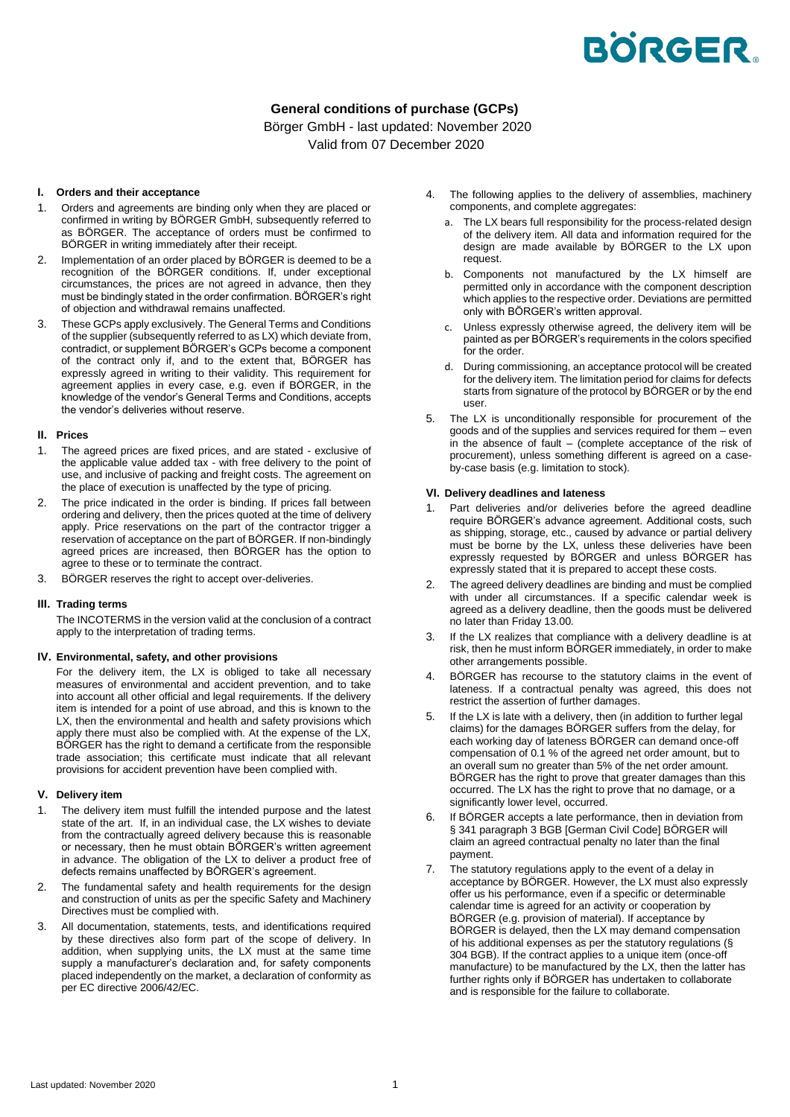# **BÖRGER.**

# **General conditions of purchase (GCPs)**

Börger GmbH - last updated: November 2020 Valid from 07 December 2020

# **I. Orders and their acceptance**

- 1. Orders and agreements are binding only when they are placed or confirmed in writing by BÖRGER GmbH, subsequently referred to as BÖRGER. The acceptance of orders must be confirmed to BÖRGER in writing immediately after their receipt.
- 2. Implementation of an order placed by BÖRGER is deemed to be a recognition of the BÖRGER conditions. If, under exceptional circumstances, the prices are not agreed in advance, then they must be bindingly stated in the order confirmation. BÖRGER's right of objection and withdrawal remains unaffected.
- 3. These GCPs apply exclusively. The General Terms and Conditions of the supplier (subsequently referred to as LX) which deviate from, contradict, or supplement BÖRGER's GCPs become a component of the contract only if, and to the extent that, BÖRGER has expressly agreed in writing to their validity. This requirement for agreement applies in every case, e.g. even if BÖRGER, in the knowledge of the vendor's General Terms and Conditions, accepts the vendor's deliveries without reserve.

#### **II. Prices**

- 1. The agreed prices are fixed prices, and are stated exclusive of the applicable value added tax - with free delivery to the point of use, and inclusive of packing and freight costs. The agreement on the place of execution is unaffected by the type of pricing.
- 2. The price indicated in the order is binding. If prices fall between ordering and delivery, then the prices quoted at the time of delivery apply. Price reservations on the part of the contractor trigger a reservation of acceptance on the part of BÖRGER. If non-bindingly agreed prices are increased, then BÖRGER has the option to agree to these or to terminate the contract.
- 3. BÖRGER reserves the right to accept over-deliveries.

# **III. Trading terms**

The INCOTERMS in the version valid at the conclusion of a contract apply to the interpretation of trading terms.

#### **IV. Environmental, safety, and other provisions**

For the delivery item, the LX is obliged to take all necessary measures of environmental and accident prevention, and to take into account all other official and legal requirements. If the delivery item is intended for a point of use abroad, and this is known to the LX, then the environmental and health and safety provisions which apply there must also be complied with. At the expense of the LX, BÖRGER has the right to demand a certificate from the responsible trade association; this certificate must indicate that all relevant provisions for accident prevention have been complied with.

#### **V. Delivery item**

- 1. The delivery item must fulfill the intended purpose and the latest state of the art. If, in an individual case, the LX wishes to deviate from the contractually agreed delivery because this is reasonable or necessary, then he must obtain BÖRGER's written agreement in advance. The obligation of the LX to deliver a product free of defects remains unaffected by BÖRGER's agreement.
- 2. The fundamental safety and health requirements for the design and construction of units as per the specific Safety and Machinery Directives must be complied with.
- 3. All documentation, statements, tests, and identifications required by these directives also form part of the scope of delivery. In addition, when supplying units, the LX must at the same time supply a manufacturer's declaration and, for safety components placed independently on the market, a declaration of conformity as per EC directive 2006/42/EC.
- 4. The following applies to the delivery of assemblies, machinery components, and complete aggregates:
	- a. The LX bears full responsibility for the process-related design of the delivery item. All data and information required for the design are made available by BÖRGER to the LX upon request.
	- b. Components not manufactured by the LX himself are permitted only in accordance with the component description which applies to the respective order. Deviations are permitted only with BÖRGER's written approval.
	- c. Unless expressly otherwise agreed, the delivery item will be painted as per BÖRGER's requirements in the colors specified for the order.
	- d. During commissioning, an acceptance protocol will be created for the delivery item. The limitation period for claims for defects starts from signature of the protocol by BÖRGER or by the end user.
- 5. The LX is unconditionally responsible for procurement of the goods and of the supplies and services required for them – even in the absence of fault – (complete acceptance of the risk of procurement), unless something different is agreed on a caseby-case basis (e.g. limitation to stock).

#### **VI. Delivery deadlines and lateness**

- 1. Part deliveries and/or deliveries before the agreed deadline require BÖRGER's advance agreement. Additional costs, such as shipping, storage, etc., caused by advance or partial delivery must be borne by the LX, unless these deliveries have been expressly requested by BÖRGER and unless BÖRGER has expressly stated that it is prepared to accept these costs.
- 2. The agreed delivery deadlines are binding and must be complied with under all circumstances. If a specific calendar week is agreed as a delivery deadline, then the goods must be delivered no later than Friday 13.00.
- If the LX realizes that compliance with a delivery deadline is at risk, then he must inform BÖRGER immediately, in order to make other arrangements possible.
- 4. BÖRGER has recourse to the statutory claims in the event of lateness. If a contractual penalty was agreed, this does not restrict the assertion of further damages.
- 5. If the LX is late with a delivery, then (in addition to further legal claims) for the damages BÖRGER suffers from the delay, for each working day of lateness BÖRGER can demand once-off compensation of 0.1 % of the agreed net order amount, but to an overall sum no greater than 5% of the net order amount. BÖRGER has the right to prove that greater damages than this occurred. The LX has the right to prove that no damage, or a significantly lower level, occurred.
- 6. If BÖRGER accepts a late performance, then in deviation from § 341 paragraph 3 BGB [German Civil Code] BÖRGER will claim an agreed contractual penalty no later than the final payment.
- 7. The statutory regulations apply to the event of a delay in acceptance by BÖRGER. However, the LX must also expressly offer us his performance, even if a specific or determinable calendar time is agreed for an activity or cooperation by BÖRGER (e.g. provision of material). If acceptance by BÖRGER is delayed, then the LX may demand compensation of his additional expenses as per the statutory regulations (§ 304 BGB). If the contract applies to a unique item (once-off manufacture) to be manufactured by the LX, then the latter has further rights only if BÖRGER has undertaken to collaborate and is responsible for the failure to collaborate.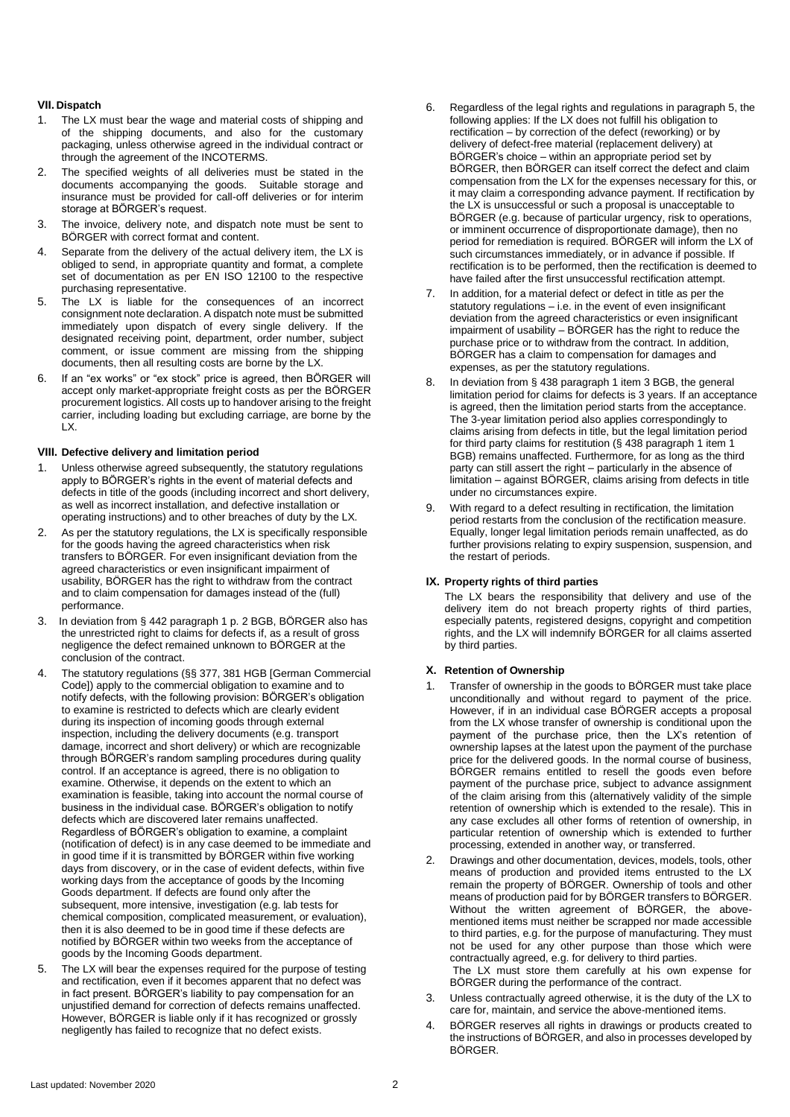# **VII. Dispatch**

- 1. The LX must bear the wage and material costs of shipping and of the shipping documents, and also for the customary packaging, unless otherwise agreed in the individual contract or through the agreement of the INCOTERMS.
- 2. The specified weights of all deliveries must be stated in the documents accompanying the goods. Suitable storage and insurance must be provided for call-off deliveries or for interim storage at BÖRGER's request.
- 3. The invoice, delivery note, and dispatch note must be sent to BÖRGER with correct format and content.
- 4. Separate from the delivery of the actual delivery item, the LX is obliged to send, in appropriate quantity and format, a complete set of documentation as per EN ISO 12100 to the respective purchasing representative.
- 5. The LX is liable for the consequences of an incorrect consignment note declaration. A dispatch note must be submitted immediately upon dispatch of every single delivery. If the designated receiving point, department, order number, subject comment, or issue comment are missing from the shipping documents, then all resulting costs are borne by the LX.
- 6. If an "ex works" or "ex stock" price is agreed, then BÖRGER will accept only market-appropriate freight costs as per the BÖRGER procurement logistics. All costs up to handover arising to the freight carrier, including loading but excluding carriage, are borne by the LX.

#### **VIII. Defective delivery and limitation period**

- Unless otherwise agreed subsequently, the statutory regulations apply to BÖRGER's rights in the event of material defects and defects in title of the goods (including incorrect and short delivery, as well as incorrect installation, and defective installation or operating instructions) and to other breaches of duty by the LX.
- 2. As per the statutory regulations, the LX is specifically responsible for the goods having the agreed characteristics when risk transfers to BÖRGER. For even insignificant deviation from the agreed characteristics or even insignificant impairment of usability, BÖRGER has the right to withdraw from the contract and to claim compensation for damages instead of the (full) performance.
- 3. In deviation from § 442 paragraph 1 p. 2 BGB, BÖRGER also has the unrestricted right to claims for defects if, as a result of gross negligence the defect remained unknown to BÖRGER at the conclusion of the contract.
- 4. The statutory regulations (§§ 377, 381 HGB [German Commercial Code]) apply to the commercial obligation to examine and to notify defects, with the following provision: BÖRGER's obligation to examine is restricted to defects which are clearly evident during its inspection of incoming goods through external inspection, including the delivery documents (e.g. transport damage, incorrect and short delivery) or which are recognizable through BÖRGER's random sampling procedures during quality control. If an acceptance is agreed, there is no obligation to examine. Otherwise, it depends on the extent to which an examination is feasible, taking into account the normal course of business in the individual case. BÖRGER's obligation to notify defects which are discovered later remains unaffected. Regardless of BÖRGER's obligation to examine, a complaint (notification of defect) is in any case deemed to be immediate and in good time if it is transmitted by BÖRGER within five working days from discovery, or in the case of evident defects, within five working days from the acceptance of goods by the Incoming Goods department. If defects are found only after the subsequent, more intensive, investigation (e.g. lab tests for chemical composition, complicated measurement, or evaluation), then it is also deemed to be in good time if these defects are notified by BÖRGER within two weeks from the acceptance of goods by the Incoming Goods department.
- 5. The LX will bear the expenses required for the purpose of testing and rectification, even if it becomes apparent that no defect was in fact present. BÖRGER's liability to pay compensation for an unjustified demand for correction of defects remains unaffected. However, BÖRGER is liable only if it has recognized or grossly negligently has failed to recognize that no defect exists.
- 6. Regardless of the legal rights and regulations in paragraph 5, the following applies: If the LX does not fulfill his obligation to rectification – by correction of the defect (reworking) or by delivery of defect-free material (replacement delivery) at BÖRGER's choice – within an appropriate period set by BÖRGER, then BÖRGER can itself correct the defect and claim compensation from the LX for the expenses necessary for this, or it may claim a corresponding advance payment. If rectification by the LX is unsuccessful or such a proposal is unacceptable to BÖRGER (e.g. because of particular urgency, risk to operations, or imminent occurrence of disproportionate damage), then no period for remediation is required. BÖRGER will inform the LX of such circumstances immediately, or in advance if possible. If rectification is to be performed, then the rectification is deemed to have failed after the first unsuccessful rectification attempt.
- 7. In addition, for a material defect or defect in title as per the statutory regulations – i.e. in the event of even insignificant deviation from the agreed characteristics or even insignificant impairment of usability – BÖRGER has the right to reduce the purchase price or to withdraw from the contract. In addition, BÖRGER has a claim to compensation for damages and expenses, as per the statutory regulations.
- 8. In deviation from § 438 paragraph 1 item 3 BGB, the general limitation period for claims for defects is 3 years. If an acceptance is agreed, then the limitation period starts from the acceptance. The 3-year limitation period also applies correspondingly to claims arising from defects in title, but the legal limitation period for third party claims for restitution (§ 438 paragraph 1 item 1 BGB) remains unaffected. Furthermore, for as long as the third party can still assert the right – particularly in the absence of limitation – against BÖRGER, claims arising from defects in title under no circumstances expire.
- 9. With regard to a defect resulting in rectification, the limitation period restarts from the conclusion of the rectification measure. Equally, longer legal limitation periods remain unaffected, as do further provisions relating to expiry suspension, suspension, and the restart of periods.

# **IX. Property rights of third parties**

The LX bears the responsibility that delivery and use of the delivery item do not breach property rights of third parties, especially patents, registered designs, copyright and competition rights, and the LX will indemnify BÖRGER for all claims asserted by third parties.

# **X. Retention of Ownership**

- 1. Transfer of ownership in the goods to BÖRGER must take place unconditionally and without regard to payment of the price. However, if in an individual case BÖRGER accepts a proposal from the LX whose transfer of ownership is conditional upon the payment of the purchase price, then the LX's retention of ownership lapses at the latest upon the payment of the purchase price for the delivered goods. In the normal course of business, BÖRGER remains entitled to resell the goods even before payment of the purchase price, subject to advance assignment of the claim arising from this (alternatively validity of the simple retention of ownership which is extended to the resale). This in any case excludes all other forms of retention of ownership, in particular retention of ownership which is extended to further processing, extended in another way, or transferred.
- 2. Drawings and other documentation, devices, models, tools, other means of production and provided items entrusted to the LX remain the property of BÖRGER. Ownership of tools and other means of production paid for by BÖRGER transfers to BÖRGER. Without the written agreement of BÖRGER, the abovementioned items must neither be scrapped nor made accessible to third parties, e.g. for the purpose of manufacturing. They must not be used for any other purpose than those which were contractually agreed, e.g. for delivery to third parties. The LX must store them carefully at his own expense for
	- BÖRGER during the performance of the contract.
- 3. Unless contractually agreed otherwise, it is the duty of the LX to care for, maintain, and service the above-mentioned items.
- 4. BÖRGER reserves all rights in drawings or products created to the instructions of BÖRGER, and also in processes developed by BÖRGER.